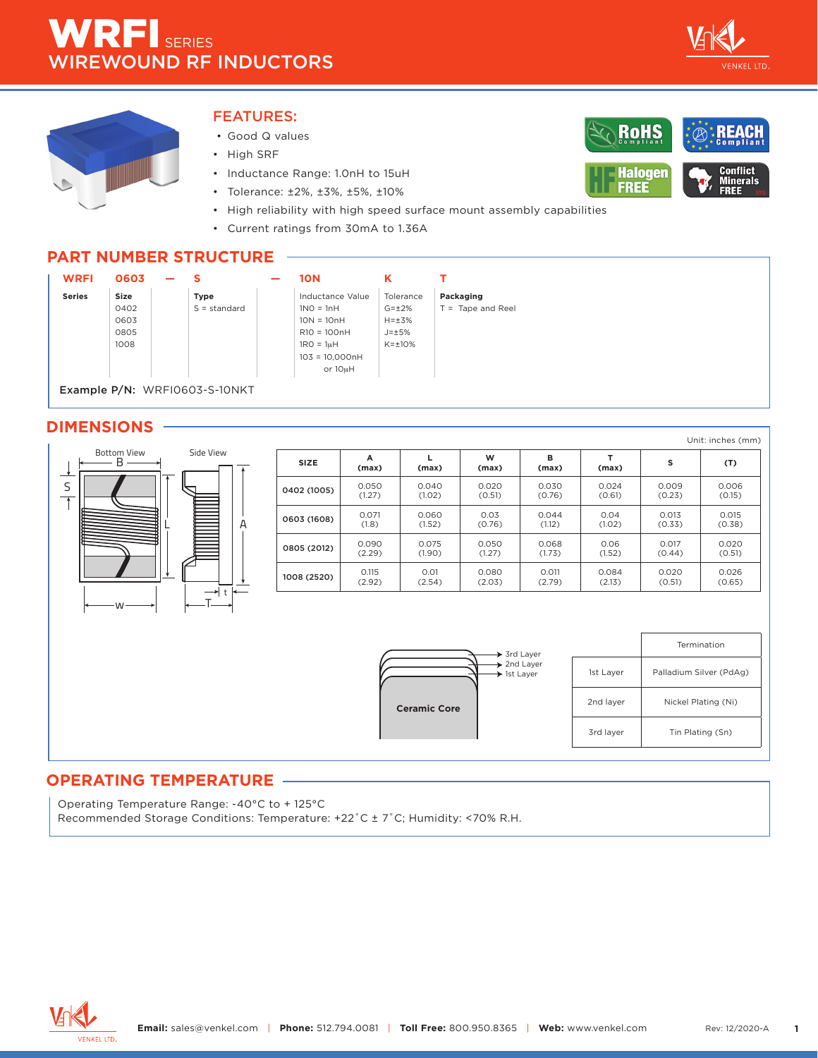

**Conflict** Minerals<br>FREE

RoHS

**Halogen** 

**FREE** 



#### FEATURES:

- Good Q values
- High SRF
- Inductance Range: 1.0nH to 15uH
- Tolerance: ±2%, ±3%, ±5%, ±10%
- High reliability with high speed surface mount assembly capabilities
- Current ratings from 30mA to 1.36A

#### **PART NUMBER STRUCTURE**



#### **DIMENSIONS**



|             |            |        |            |            |        |        | Unit: inches (mm) |
|-------------|------------|--------|------------|------------|--------|--------|-------------------|
| <b>SIZE</b> | A<br>(max) | (max)  | W<br>(max) | в<br>(max) | (max)  | s      | (T)               |
| 0402 (1005) | 0.050      | 0.040  | 0.020      | 0.030      | 0.024  | 0.009  | 0.006             |
|             | (1.27)     | (1.02) | (0.51)     | (0.76)     | (0.61) | (0.23) | (0.15)            |
| 0603 (1608) | 0.071      | 0.060  | 0.03       | 0.044      | 0.04   | 0.013  | 0.015             |
|             | (1.8)      | (1.52) | (0.76)     | (1.12)     | (1.02) | (0.33) | (0.38)            |
| 0805 (2012) | 0.090      | 0.075  | 0.050      | 0.068      | 0.06   | 0.017  | 0.020             |
|             | (2.29)     | (1.90) | (1.27)     | (1.73)     | (1.52) | (0.44) | (0.51)            |
| 1008 (2520) | 0.115      | 0.01   | 0.080      | 0.011      | 0.084  | 0.020  | 0.026             |
|             | (2.92)     | (2.54) | (2.03)     | (2.79)     | (2.13) | (0.51) | (0.65)            |



|           | Termination             |
|-----------|-------------------------|
| 1st Layer | Palladium Silver (PdAg) |
| 2nd layer | Nickel Plating (Ni)     |
| 3rd layer | Tin Plating (Sn)        |

#### **OPERATING TEMPERATURE**

Operating Temperature Range: -40°C to + 125°C

Recommended Storage Conditions: Temperature: +22˚C ± 7˚C; Humidity: <70% R.H.

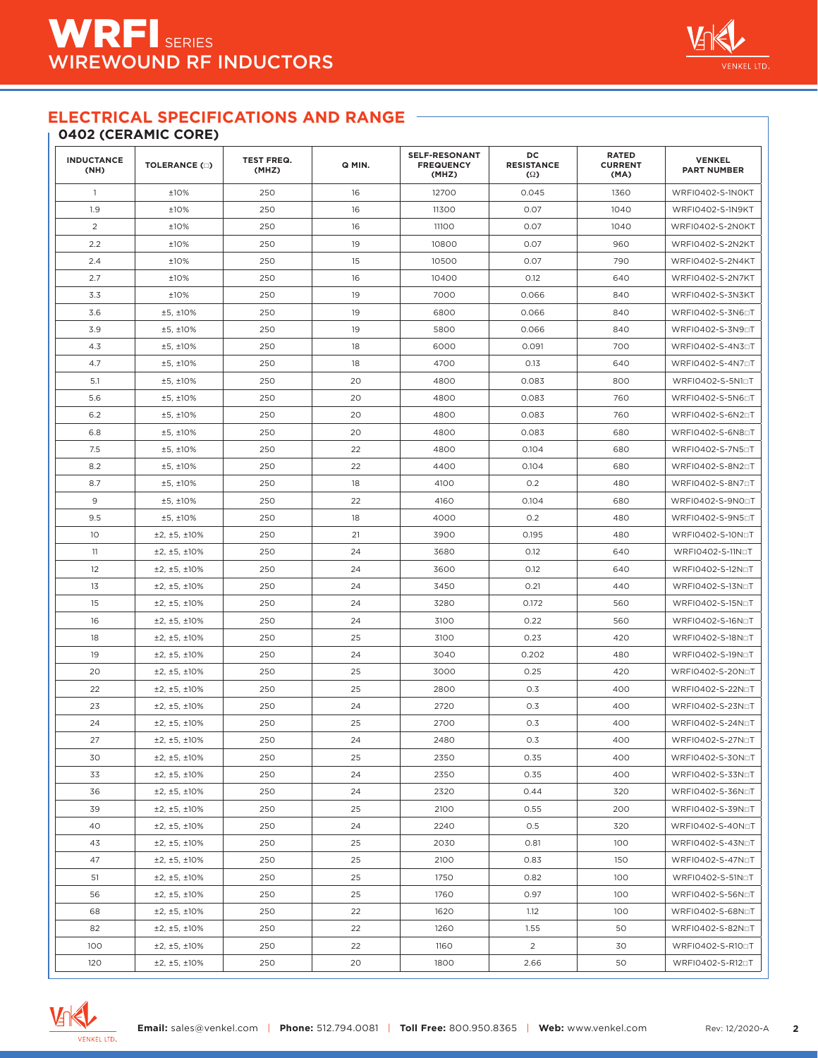## **0402 (CERAMIC CORE)**

| <b>INDUCTANCE</b><br>(NH) | <b>TOLERANCE (D)</b> | <b>TEST FREQ.</b><br>(MHZ) | Q MIN. | <b>SELF-RESONANT</b><br><b>FREQUENCY</b><br>(MHZ) | DC<br><b>RESISTANCE</b><br>$\Omega$ | <b>RATED</b><br><b>CURRENT</b><br>(MA) | <b>VENKEL</b><br><b>PART NUMBER</b> |
|---------------------------|----------------------|----------------------------|--------|---------------------------------------------------|-------------------------------------|----------------------------------------|-------------------------------------|
| $\overline{1}$            | ±10%                 | 250                        | 16     | 12700                                             | 0.045                               | 1360                                   | WRFI0402-S-1N0KT                    |
| 1.9                       | ±10%                 | 250                        | 16     | 11300                                             | 0.07                                | 1040                                   | WRFI0402-S-1N9KT                    |
| $\overline{c}$            | ±10%                 | 250                        | 16     | 11100                                             | 0.07                                | 1040                                   | WRFI0402-S-2N0KT                    |
| 2.2                       | ±10%                 | 250                        | 19     | 10800                                             | 0.07                                | 960                                    | WRFI0402-S-2N2KT                    |
| 2.4                       | ±10%                 | 250                        | 15     | 10500                                             | 0.07                                | 790                                    | WRFI0402-S-2N4KT                    |
| 2.7                       | ±10%                 | 250                        | 16     | 10400                                             | 0.12                                | 640                                    | WRFI0402-S-2N7KT                    |
| 3.3                       | ±10%                 | 250                        | 19     | 7000                                              | 0.066                               | 840                                    | WRFI0402-S-3N3KT                    |
| 3.6                       | ±5, ±10%             | 250                        | 19     | 6800                                              | 0.066                               | 840                                    | WRFI0402-S-3N6□T                    |
| 3.9                       | ±5, ±10%             | 250                        | 19     | 5800                                              | 0.066                               | 840                                    | WRFI0402-S-3N9□T                    |
| 4.3                       | ±5, ±10%             | 250                        | 18     | 6000                                              | 0.091                               | 700                                    | WRFI0402-S-4N3aT                    |
| 4.7                       | ±5, ±10%             | 250                        | 18     | 4700                                              | 0.13                                | 640                                    | WRFI0402-S-4N7□T                    |
| 5.1                       | ±5, ±10%             | 250                        | 20     | 4800                                              | 0.083                               | 800                                    | WRFI0402-S-5N10T                    |
| 5.6                       | ±5, ±10%             | 250                        | 20     | 4800                                              | 0.083                               | 760                                    | WRFI0402-S-5N6□T                    |
| 6.2                       | ±5, ±10%             | 250                        | 20     | 4800                                              | 0.083                               | 760                                    | WRFI0402-S-6N2□T                    |
| 6.8                       | ±5, ±10%             | 250                        | 20     | 4800                                              | 0.083                               | 680                                    | WRFI0402-S-6N80T                    |
| 7.5                       | ±5, ±10%             | 250                        | 22     | 4800                                              | 0.104                               | 680                                    | WRFI0402-S-7N5□T                    |
| 8.2                       | ±5, ±10%             | 250                        | 22     | 4400                                              | 0.104                               | 680                                    | WRFI0402-S-8N2□T                    |
| 8.7                       | ±5, ±10%             | 250                        | 18     | 4100                                              | 0.2                                 | 480                                    | WRFI0402-S-8N7□T                    |
| 9                         | ±5, ±10%             | 250                        | 22     | 4160                                              | 0.104                               | 680                                    | WRFI0402-S-9N00T                    |
| 9.5                       | ±5, ±10%             | 250                        | 18     | 4000                                              | 0.2                                 | 480                                    | WRFI0402-S-9N5□T                    |
| 10                        | ±2, ±5, ±10%         | 250                        | 21     | 3900                                              | 0.195                               | 480                                    | WRFI0402-S-10NoT                    |
| 11                        | ±2, ±5, ±10%         | 250                        | 24     | 3680                                              | 0.12                                | 640                                    | WRFI0402-S-11N⊡T                    |
| 12                        | ±2, ±5, ±10%         | 250                        | 24     | 3600                                              | 0.12                                | 640                                    | WRFI0402-S-12NoT                    |
| 13                        | ±2, ±5, ±10%         | 250                        | 24     | 3450                                              | 0.21                                | 440                                    | WRFI0402-S-13N□T                    |
| 15                        | ±2, ±5, ±10%         | 250                        | 24     | 3280                                              | 0.172                               | 560                                    | WRFI0402-S-15NoT                    |
| 16                        | ±2, ±5, ±10%         | 250                        | 24     | 3100                                              | 0.22                                | 560                                    | WRFI0402-S-16N□T                    |
| 18                        | ±2, ±5, ±10%         | 250                        | 25     | 3100                                              | 0.23                                | 420                                    | WRFI0402-S-18NoT                    |
| 19                        | ±2, ±5, ±10%         | 250                        | 24     | 3040                                              | 0.202                               | 480                                    | WRFI0402-S-19N□T                    |
| 20                        | ±2, ±5, ±10%         | 250                        | 25     | 3000                                              | 0.25                                | 420                                    | WRFI0402-S-20N⊡T                    |
| 22                        | ±2, ±5, ±10%         | 250                        | 25     | 2800                                              | 0.3                                 | 400                                    | WRFI0402-S-22N□T                    |
| 23                        | ±2, ±5, ±10%         | 250                        | 24     | 2720                                              | 0.3                                 | 400                                    | WRFI0402-S-23N⊡T                    |
| 24                        | ±2, ±5, ±10%         | 250                        | 25     | 2700                                              | 0.3                                 | 400                                    | WRFI0402-S-24NoT                    |
| 27                        | ±2, ±5, ±10%         | 250                        | 24     | 2480                                              | 0.3                                 | 400                                    | WRFI0402-S-27NoT                    |
| 30                        | ±2, ±5, ±10%         | 250                        | 25     | 2350                                              | 0.35                                | 400                                    | WRFI0402-S-30NoT                    |
| 33                        | ±2, ±5, ±10%         | 250                        | 24     | 2350                                              | 0.35                                | 400                                    | WRFI0402-S-33N□T                    |
| 36                        | ±2, ±5, ±10%         | 250                        | 24     | 2320                                              | 0.44                                | 320                                    | WRFI0402-S-36NoT                    |
| 39                        | ±2, ±5, ±10%         | 250                        | 25     | 2100                                              | 0.55                                | 200                                    | WRFI0402-S-39N⊡T                    |
| 40                        | ±2, ±5, ±10%         | 250                        | 24     | 2240                                              | 0.5                                 | 320                                    | WRFI0402-S-40NoT                    |
| 43                        | ±2, ±5, ±10%         | 250                        | 25     | 2030                                              | 0.81                                | 100                                    | WRFI0402-S-43NoT                    |
| 47                        | ±2, ±5, ±10%         | 250                        | 25     | 2100                                              | 0.83                                | 150                                    | WRFI0402-S-47NoT                    |
| 51                        | ±2, ±5, ±10%         | 250                        | 25     | 1750                                              | 0.82                                | 100                                    | WRFI0402-S-51NoT                    |
| 56                        | ±2, ±5, ±10%         | 250                        | 25     | 1760                                              | 0.97                                | 100                                    | WRFI0402-S-56NoT                    |
| 68                        | ±2, ±5, ±10%         | 250                        | 22     | 1620                                              | 1.12                                | 100                                    | WRFI0402-S-68NoT                    |
| 82                        | ±2, ±5, ±10%         | 250                        | 22     | 1260                                              | 1.55                                | 50                                     | WRFI0402-S-82NoT                    |
| 100                       | ±2, ±5, ±10%         | 250                        | 22     | 1160                                              | $\overline{2}$                      | 30                                     | WRFI0402-S-R100T                    |
| 120                       | ±2, ±5, ±10%         | 250                        | 20     | 1800                                              | 2.66                                | 50                                     | WRFI0402-S-R120T                    |



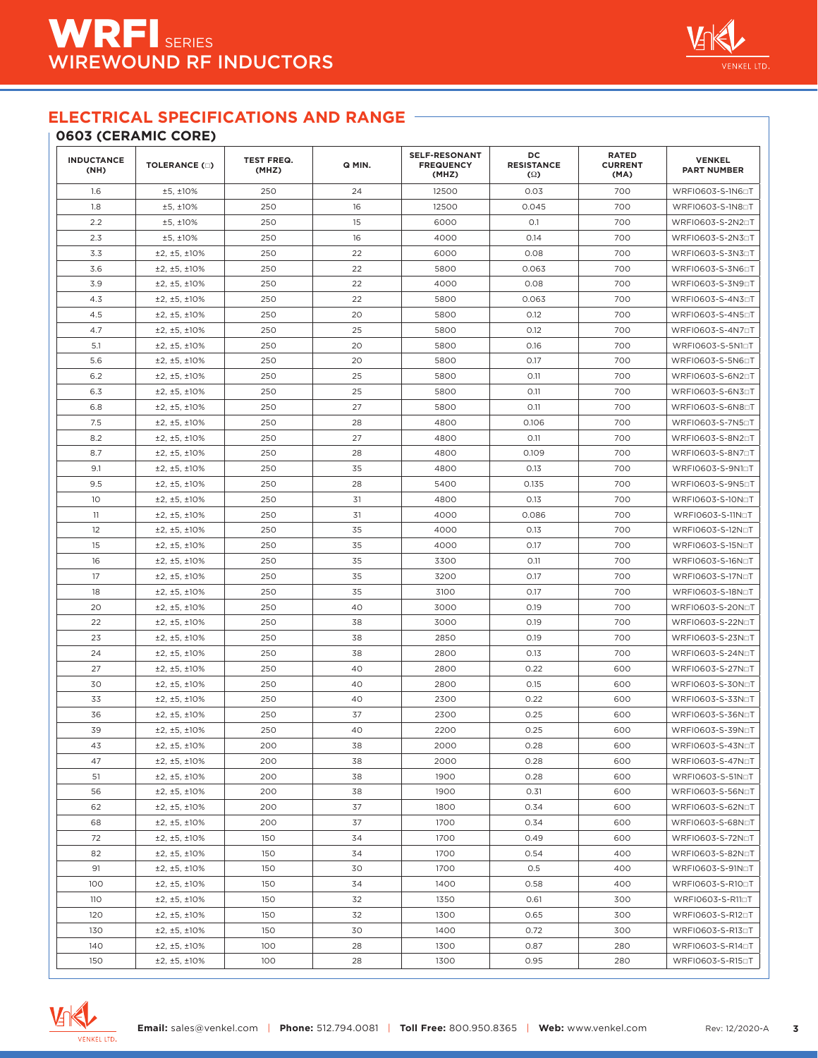#### **0603 (CERAMIC CORE)**

| <b>INDUCTANCE</b><br>(NH) | <b>TOLERANCE (D)</b> | <b>TEST FREQ.</b><br>(MHZ) | Q MIN. | <b>SELF-RESONANT</b><br><b>FREQUENCY</b><br>(MHZ) | DC<br><b>RESISTANCE</b><br>$(\Omega)$ | <b>RATED</b><br><b>CURRENT</b><br>(MA) | <b>VENKEL</b><br><b>PART NUMBER</b> |
|---------------------------|----------------------|----------------------------|--------|---------------------------------------------------|---------------------------------------|----------------------------------------|-------------------------------------|
| 1.6                       | ±5, ±10%             | 250                        | 24     | 12500                                             | 0.03                                  | 700                                    | WRFI0603-S-1N6□T                    |
| 1.8                       | ±5, ±10%             | 250                        | 16     | 12500                                             | 0.045                                 | 700                                    | WRFI0603-S-1N80T                    |
| 2.2                       | ±5, ±10%             | 250                        | 15     | 6000                                              | O.1                                   | 700                                    | WRFI0603-S-2N20T                    |
| 2.3                       | ±5, ±10%             | 250                        | 16     | 4000                                              | 0.14                                  | 700                                    | WRFI0603-S-2N30T                    |
| 3.3                       | ±2, ±5, ±10%         | 250                        | 22     | 6000                                              | 0.08                                  | 700                                    | WRFI0603-S-3N3□T                    |
| 3.6                       | ±2, ±5, ±10%         | 250                        | 22     | 5800                                              | 0.063                                 | 700                                    | WRFI0603-S-3N6□T                    |
| 3.9                       | ±2, ±5, ±10%         | 250                        | 22     | 4000                                              | 0.08                                  | 700                                    | WRFI0603-S-3N9□T                    |
| 4.3                       | ±2, ±5, ±10%         | 250                        | 22     | 5800                                              | 0.063                                 | 700                                    | WRFI0603-S-4N3□T                    |
| 4.5                       | ±2, ±5, ±10%         | 250                        | 20     | 5800                                              | 0.12                                  | 700                                    | WRFI0603-S-4N50T                    |
| 4.7                       | ±2, ±5, ±10%         | 250                        | 25     | 5800                                              | 0.12                                  | 700                                    | WRFI0603-S-4N70T                    |
| 5.1                       | ±2, ±5, ±10%         | 250                        | 20     | 5800                                              | 0.16                                  | 700                                    | WRFI0603-S-5N10T                    |
| 5.6                       | ±2, ±5, ±10%         | 250                        | 20     | 5800                                              | 0.17                                  | 700                                    | WRFI0603-S-5N60T                    |
| 6.2                       | ±2, ±5, ±10%         | 250                        | 25     | 5800                                              | O.11                                  | 700                                    | WRFI0603-S-6N2□T                    |
| 6.3                       | ±2, ±5, ±10%         | 250                        | 25     | 5800                                              | 0.11                                  | 700                                    | WRFI0603-S-6N3□T                    |
| 6.8                       | ±2, ±5, ±10%         | 250                        | 27     | 5800                                              | O.11                                  | 700                                    | WRFI0603-S-6N80T                    |
| 7.5                       | ±2, ±5, ±10%         | 250                        | 28     | 4800                                              | 0.106                                 | 700                                    | WRFI0603-S-7N5□T                    |
| 8.2                       | ±2, ±5, ±10%         | 250                        | 27     | 4800                                              | O.11                                  | 700                                    | WRFI0603-S-8N2□T                    |
| 8.7                       | ±2, ±5, ±10%         | 250                        | 28     | 4800                                              | 0.109                                 | 700                                    | WRFI0603-S-8N7aT                    |
| 9.1                       | ±2, ±5, ±10%         | 250                        | 35     | 4800                                              | 0.13                                  | 700                                    | WRFI0603-S-9N10T                    |
| 9.5                       | ±2, ±5, ±10%         | 250                        | 28     | 5400                                              | 0.135                                 | 700                                    | WRFI0603-S-9N5□T                    |
| 10                        | ±2, ±5, ±10%         | 250                        | 31     | 4800                                              | 0.13                                  | 700                                    | WRFI0603-S-10NoT                    |
| 11                        | ±2, ±5, ±10%         | 250                        | 31     | 4000                                              | 0.086                                 | 700                                    | WRFI0603-S-11NoT                    |
| 12                        | ±2, ±5, ±10%         | 250                        | 35     | 4000                                              | 0.13                                  | 700                                    | WRFI0603-S-12NoT                    |
| 15                        | ±2, ±5, ±10%         | 250                        | 35     | 4000                                              | 0.17                                  | 700                                    | WRFI0603-S-15NoT                    |
| 16                        | ±2, ±5, ±10%         | 250                        | 35     | 3300                                              | O.11                                  | 700                                    | WRFI0603-S-16NoT                    |
| 17                        | ±2, ±5, ±10%         | 250                        | 35     | 3200                                              | 0.17                                  | 700                                    | WRFI0603-S-17N⊡T                    |
| 18                        | ±2, ±5, ±10%         | 250                        | 35     | 3100                                              | 0.17                                  | 700                                    | WRFI0603-S-18NoT                    |
| 20                        | ±2, ±5, ±10%         | 250                        | 40     | 3000                                              | 0.19                                  | 700                                    | WRFI0603-S-20NoT                    |
| 22                        | ±2, ±5, ±10%         | 250                        | 38     | 3000                                              | 0.19                                  | 700                                    | WRFI0603-S-22N□T                    |
| 23                        | ±2, ±5, ±10%         | 250                        | 38     | 2850                                              | 0.19                                  | 700                                    | WRFI0603-S-23NoT                    |
| 24                        | ±2, ±5, ±10%         | 250                        | 38     | 2800                                              | 0.13                                  | 700                                    | WRFI0603-S-24N□T                    |
| 27                        | ±2, ±5, ±10%         | 250                        | 40     | 2800                                              | 0.22                                  | 600                                    | WRFI0603-S-27NoT                    |
| 30                        | ±2, ±5, ±10%         | 250                        | 40     | 2800                                              | 0.15                                  | 600                                    | WRFI0603-S-30NoT                    |
| 33                        | ±2, ±5, ±10%         | 250                        | 40     | 2300                                              | 0.22                                  | 600                                    | WRFI0603-S-33NoT                    |
| 36                        | ±2, ±5, ±10%         | 250                        | 37     | 2300                                              | 0.25                                  | 600                                    | WRFI0603-S-36NoT                    |
| 39                        | ±2, ±5, ±10%         | 250                        | 40     | 2200                                              | 0.25                                  | 600                                    | WRFI0603-S-39NoT                    |
| 43                        | ±2, ±5, ±10%         | 200                        | 38     | 2000                                              | 0.28                                  | 600                                    | WRFI0603-S-43NoT                    |
| 47                        | ±2, ±5, ±10%         | 200                        | 38     | 2000                                              | 0.28                                  | 600                                    | WRFI0603-S-47NoT                    |
| 51                        | ±2, ±5, ±10%         | 200                        | 38     | 1900                                              | 0.28                                  | 600                                    | WRFI0603-S-51NoT                    |
| 56                        | ±2, ±5, ±10%         | 200                        | 38     | 1900                                              | 0.31                                  | 600                                    | WRFI0603-S-56NoT                    |
| 62                        | ±2, ±5, ±10%         | 200                        | 37     | 1800                                              | 0.34                                  | 600                                    | WRFI0603-S-62N□T                    |
| 68                        | ±2, ±5, ±10%         | 200                        | 37     | 1700                                              | 0.34                                  | 600                                    | WRFI0603-S-68NoT                    |
| 72                        | ±2, ±5, ±10%         | 150                        | 34     | 1700                                              | 0.49                                  | 600                                    | WRFI0603-S-72NoT                    |
| 82                        | ±2, ±5, ±10%         | 150                        | 34     | 1700                                              | 0.54                                  | 400                                    | WRFI0603-S-82NoT                    |
| 91                        | ±2, ±5, ±10%         | 150                        | 30     | 1700                                              | 0.5                                   | 400                                    | WRFI0603-S-91NoT                    |
| 100                       | ±2, ±5, ±10%         | 150                        | 34     | 1400                                              | 0.58                                  | 400                                    | WRFI0603-S-R100T                    |
| 110                       | ±2, ±5, ±10%         | 150                        | 32     | 1350                                              | 0.61                                  | 300                                    | WRFI0603-S-R110T                    |
| 120                       | ±2, ±5, ±10%         | 150                        | 32     | 1300                                              | 0.65                                  | 300                                    | WRFI0603-S-R120T                    |
| 130                       | ±2, ±5, ±10%         | 150                        | 30     | 1400                                              | 0.72                                  | 300                                    | WRFI0603-S-R130T                    |
| 140                       | ±2, ±5, ±10%         | 100                        | 28     | 1300                                              | 0.87                                  | 280                                    | WRFI0603-S-R14□T                    |
| 150                       | ±2, ±5, ±10%         | 100                        | 28     | 1300                                              | 0.95                                  | 280                                    | WRFI0603-S-R150T                    |



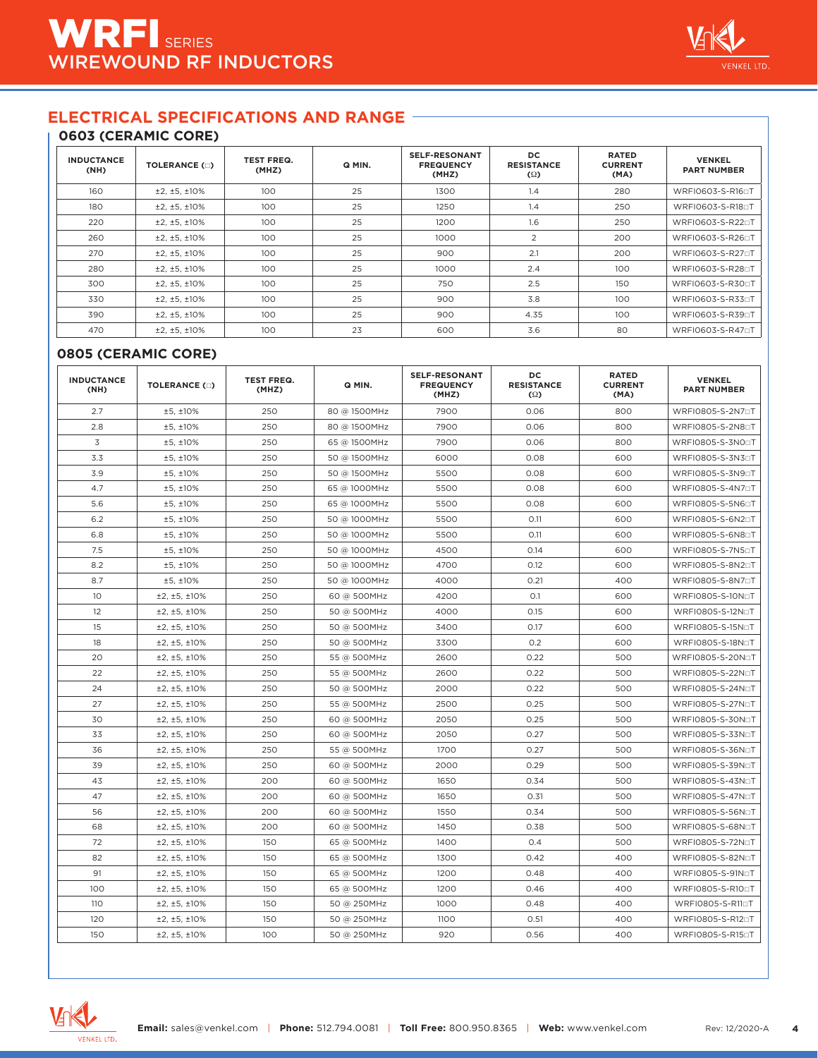#### **0603 (CERAMIC CORE)**

| <b>INDUCTANCE</b><br>(NH) | <b>TOLERANCE (D)</b> | <b>TEST FREQ.</b><br>(MHZ) | Q MIN. | <b>SELF-RESONANT</b><br><b>FREQUENCY</b><br>(MHZ) | <b>DC</b><br><b>RESISTANCE</b><br>$\Omega$ | <b>RATED</b><br><b>CURRENT</b><br>(MA) | <b>VENKEL</b><br><b>PART NUMBER</b> |
|---------------------------|----------------------|----------------------------|--------|---------------------------------------------------|--------------------------------------------|----------------------------------------|-------------------------------------|
| 160                       | ±2, ±5, ±10%         | 100                        | 25     | 1300                                              | 1.4                                        | 280                                    | WRFI0603-S-R160T                    |
| 180                       | ±2, ±5, ±10%         | 100                        | 25     | 1250                                              | 1.4                                        | 250                                    | WRFI0603-S-R18□T                    |
| 220                       | ±2, ±5, ±10%         | 100                        | 25     | 1200                                              | 1.6                                        | 250                                    | WRFI0603-S-R220T                    |
| 260                       | ±2, ±5, ±10%         | 100                        | 25     | 1000                                              | 2                                          | 200                                    | WRFI0603-S-R26□T                    |
| 270                       | ±2, ±5, ±10%         | 100                        | 25     | 900                                               | 2.1                                        | 200                                    | WRFI0603-S-R270T                    |
| 280                       | ±2, ±5, ±10%         | 100                        | 25     | 1000                                              | 2.4                                        | 100                                    | WRFI0603-S-R280T                    |
| 300                       | ±2.±5.±10%           | 100                        | 25     | 750                                               | 2.5                                        | 150                                    | WRFI0603-S-R300T                    |
| 330                       | ±2.±5.±10%           | 100                        | 25     | 900                                               | 3.8                                        | 100                                    | WRFI0603-S-R330T                    |
| 390                       | ±2.±5.±10%           | 100                        | 25     | 900                                               | 4.35                                       | 100                                    | WRFI0603-S-R390T                    |
| 470                       | ±2, ±5, ±10%         | 100                        | 23     | 600                                               | 3.6                                        | 80                                     | WRFI0603-S-R470T                    |

#### **0805 (CERAMIC CORE)**

| <b>INDUCTANCE</b><br>(NH) | <b>TOLERANCE (O)</b> | <b>TEST FREQ.</b><br>(MHZ) | Q MIN.       | <b>SELF-RESONANT</b><br><b>FREQUENCY</b><br>(MHZ) | DC<br><b>RESISTANCE</b><br>$\Omega$ | <b>RATED</b><br><b>CURRENT</b><br>(MA) | <b>VENKEL</b><br><b>PART NUMBER</b> |
|---------------------------|----------------------|----------------------------|--------------|---------------------------------------------------|-------------------------------------|----------------------------------------|-------------------------------------|
| 2.7                       | ±5, ±10%             | 250                        | 80 @ 1500MHz | 7900                                              | 0.06                                | 800                                    | WRFI0805-S-2N7aT                    |
| 2.8                       | ±5, ±10%             | 250                        | 80 @ 1500MHz | 7900                                              | 0.06                                | 800                                    | WRFI0805-S-2N80T                    |
| 3                         | ±5, ±10%             | 250                        | 65 @ 1500MHz | 7900                                              | 0.06                                | 800                                    | WRFI0805-S-3N0aT                    |
| 3.3                       | ±5, ±10%             | 250                        | 50 @ 1500MHz | 6000                                              | 0.08                                | 600                                    | WRFI0805-S-3N30T                    |
| 3.9                       | ±5, ±10%             | 250                        | 50 @ 1500MHz | 5500                                              | 0.08                                | 600                                    | WRFI0805-S-3N9□T                    |
| 4.7                       | ±5, ±10%             | 250                        | 65 @ 1000MHz | 5500                                              | 0.08                                | 600                                    | WRFI0805-S-4N7aT                    |
| 5.6                       | ±5, ±10%             | 250                        | 65 @ 1000MHz | 5500                                              | 0.08                                | 600                                    | WRFI0805-S-5N60T                    |
| 6.2                       | ±5, ±10%             | 250                        | 50 @ 1000MHz | 5500                                              | 0.11                                | 600                                    | WRFI0805-S-6N2□T                    |
| 6.8                       | ±5, ±10%             | 250                        | 50 @ 1000MHz | 5500                                              | 0.11                                | 600                                    | WRFI0805-S-6N80T                    |
| 7.5                       | ±5, ±10%             | 250                        | 50 @ 1000MHz | 4500                                              | 0.14                                | 600                                    | WRFI0805-S-7N5□T                    |
| 8.2                       | ±5, ±10%             | 250                        | 50 @ 1000MHz | 4700                                              | 0.12                                | 600                                    | WRFI0805-S-8N2□T                    |
| 8.7                       | ±5, ±10%             | 250                        | 50 @ 1000MHz | 4000                                              | 0.21                                | 400                                    | WRFI0805-S-8N7aT                    |
| 10                        | ±2, ±5, ±10%         | 250                        | 60 @ 500MHz  | 4200                                              | O.1                                 | 600                                    | WRFI0805-S-10NoT                    |
| 12                        | ±2, ±5, ±10%         | 250                        | 50 @ 500MHz  | 4000                                              | 0.15                                | 600                                    | WRFI0805-S-12NoT                    |
| 15                        | ±2, ±5, ±10%         | 250                        | 50 @ 500MHz  | 3400                                              | 0.17                                | 600                                    | WRFI0805-S-15NoT                    |
| 18                        | ±2, ±5, ±10%         | 250                        | 50 @ 500MHz  | 3300                                              | O.2                                 | 600                                    | WRFI0805-S-18NoT                    |
| 20                        | ±2, ±5, ±10%         | 250                        | 55 @ 500MHz  | 2600                                              | 0.22                                | 500                                    | WRFI0805-S-20N⊡T                    |
| 22                        | ±2, ±5, ±10%         | 250                        | 55 @ 500MHz  | 2600                                              | 0.22                                | 500                                    | WRFI0805-S-22NoT                    |
| 24                        | ±2, ±5, ±10%         | 250                        | 50 @ 500MHz  | 2000                                              | 0.22                                | 500                                    | WRFI0805-S-24N⊡T                    |
| 27                        | ±2, ±5, ±10%         | 250                        | 55 @ 500MHz  | 2500                                              | 0.25                                | 500                                    | WRFI0805-S-27N□T                    |
| 30                        | ±2, ±5, ±10%         | 250                        | 60 @ 500MHz  | 2050                                              | 0.25                                | 500                                    | WRFI0805-S-30NoT                    |
| 33                        | ±2, ±5, ±10%         | 250                        | 60 @ 500MHz  | 2050                                              | 0.27                                | 500                                    | WRFI0805-S-33NoT                    |
| 36                        | ±2, ±5, ±10%         | 250                        | 55 @ 500MHz  | 1700                                              | 0.27                                | 500                                    | WRFI0805-S-36NoT                    |
| 39                        | ±2, ±5, ±10%         | 250                        | 60 @ 500MHz  | 2000                                              | 0.29                                | 500                                    | WRFI0805-S-39NoT                    |
| 43                        | ±2, ±5, ±10%         | 200                        | 60 @ 500MHz  | 1650                                              | 0.34                                | 500                                    | WRFI0805-S-43NoT                    |
| 47                        | ±2, ±5, ±10%         | 200                        | 60 @ 500MHz  | 1650                                              | 0.31                                | 500                                    | WRFI0805-S-47N□T                    |
| 56                        | ±2, ±5, ±10%         | 200                        | 60 @ 500MHz  | 1550                                              | 0.34                                | 500                                    | WRFI0805-S-56NoT                    |
| 68                        | ±2, ±5, ±10%         | 200                        | 60 @ 500MHz  | 1450                                              | 0.38                                | 500                                    | WRFI0805-S-68NoT                    |
| 72                        | ±2, ±5, ±10%         | 150                        | 65 @ 500MHz  | 1400                                              | O.4                                 | 500                                    | WRFI0805-S-72N□T                    |
| 82                        | ±2, ±5, ±10%         | 150                        | 65 @ 500MHz  | 1300                                              | 0.42                                | 400                                    | WRFI0805-S-82NoT                    |
| 91                        | ±2, ±5, ±10%         | 150                        | 65 @ 500MHz  | 1200                                              | 0.48                                | 400                                    | WRFI0805-S-91NoT                    |
| 100                       | ±2, ±5, ±10%         | 150                        | 65 @ 500MHz  | 1200                                              | 0.46                                | 400                                    | WRFI0805-S-R100T                    |
| 110                       | ±2, ±5, ±10%         | 150                        | 50 @ 250MHz  | 1000                                              | 0.48                                | 400                                    | WRFI0805-S-R110T                    |
| 120                       | ±2, ±5, ±10%         | 150                        | 50 @ 250MHz  | 1100                                              | 0.51                                | 400                                    | WRFI0805-S-R12□T                    |
| 150                       | ±2, ±5, ±10%         | 100                        | 50 @ 250MHz  | 920                                               | 0.56                                | 400                                    | WRFI0805-S-R150T                    |

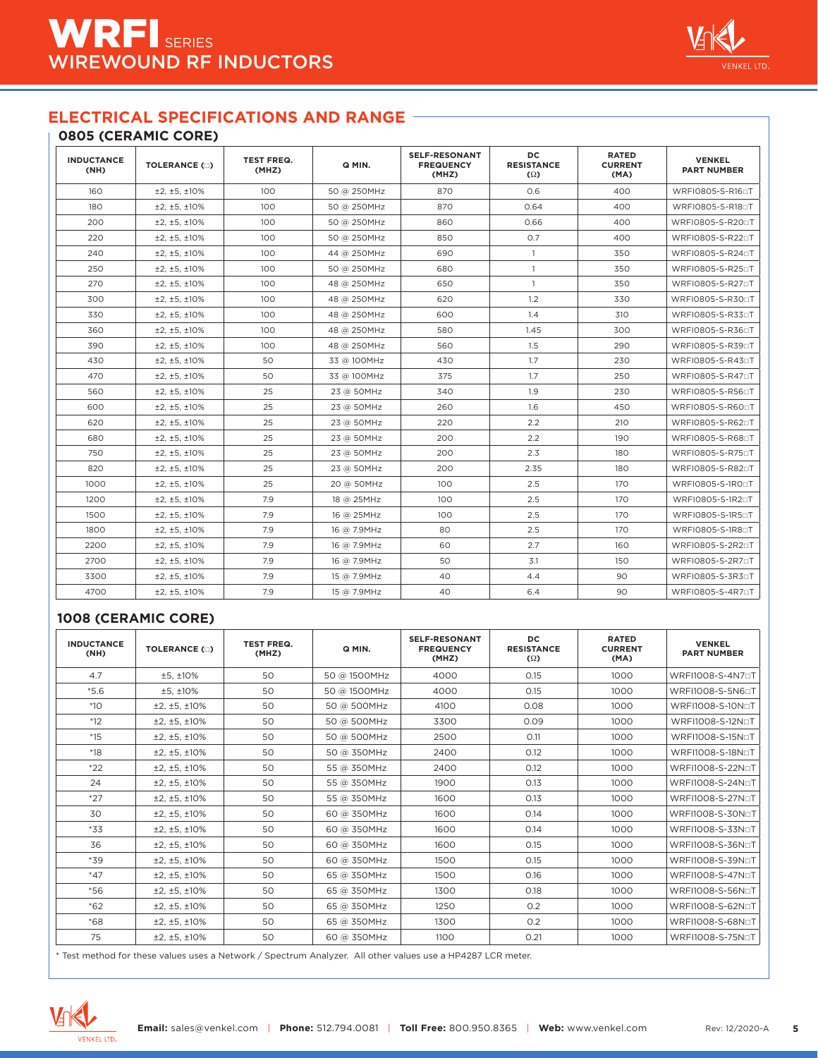#### **0805 (CERAMIC CORE)**

| <b>INDUCTANCE</b><br>(NH) | <b>TOLERANCE (E)</b> | <b>TEST FREQ.</b><br>(MHZ) | Q MIN.      | <b>SELF-RESONANT</b><br><b>FREQUENCY</b><br>(MHZ) | DC.<br><b>RESISTANCE</b><br>$\Omega$ | <b>RATED</b><br><b>CURRENT</b><br>(MA) | <b>VENKEL</b><br><b>PART NUMBER</b> |
|---------------------------|----------------------|----------------------------|-------------|---------------------------------------------------|--------------------------------------|----------------------------------------|-------------------------------------|
| 160                       | ±2, ±5, ±10%         | 100                        | 50 @ 250MHz | 870                                               | 0.6                                  | 400                                    | WRFI0805-S-R160T                    |
| 180                       | ±2, ±5, ±10%         | 100                        | 50 @ 250MHz | 870                                               | 0.64                                 | 400                                    | WRFI0805-S-R180T                    |
| 200                       | ±2.±5.±10%           | 100                        | 50 @ 250MHz | 860                                               | 0.66                                 | 400                                    | WRFI0805-S-R200T                    |
| 220                       | ±2, ±5, ±10%         | 100                        | 50 @ 250MHz | 850                                               | 0.7                                  | 400                                    | WRFI0805-S-R22□T                    |
| 240                       | ±2, ±5, ±10%         | 100                        | 44 @ 250MHz | 690                                               | $\mathbf{1}$                         | 350                                    | WRFI0805-S-R240T                    |
| 250                       | ±2.±5.±10%           | 100                        | 50 @ 250MHz | 680                                               | $\mathbf{1}$                         | 350                                    | WRFI0805-S-R25□T                    |
| 270                       | ±2.±5.±10%           | 100                        | 48 @ 250MHz | 650                                               | $\mathbf{1}$                         | 350                                    | WRFI0805-S-R270T                    |
| 300                       | ±2, ±5, ±10%         | 100                        | 48 @ 250MHz | 620                                               | 1.2                                  | 330                                    | WRFI0805-S-R300T                    |
| 330                       | ±2, ±5, ±10%         | 100                        | 48 @ 250MHz | 600                                               | 1.4                                  | 310                                    | WRFI0805-S-R330T                    |
| 360                       | ±2.±5.±10%           | 100                        | 48 @ 250MHz | 580                                               | 1.45                                 | 300                                    | WRFI0805-S-R360T                    |
| 390                       | ±2, ±5, ±10%         | 100                        | 48 @ 250MHz | 560                                               | 1.5                                  | 290                                    | WRFI0805-S-R390T                    |
| 430                       | ±2, ±5, ±10%         | 50                         | 33 @ 100MHz | 430                                               | 1.7                                  | 230                                    | WRFI0805-S-R430T                    |
| 470                       | ±2, ±5, ±10%         | 50                         | 33 @ 100MHz | 375                                               | 1.7                                  | 250                                    | WRFI0805-S-R470T                    |
| 560                       | ±2, ±5, ±10%         | 25                         | 23 @ 50MHz  | 340                                               | 1.9                                  | 230                                    | WRFI0805-S-R560T                    |
| 600                       | ±2, ±5, ±10%         | 25                         | 23 @ 50MHz  | 260                                               | 1.6                                  | 450                                    | WRFI0805-S-R600T                    |
| 620                       | ±2.±5.±10%           | 25                         | 23 @ 50MHz  | 220                                               | 2.2                                  | 210                                    | WRFI0805-S-R620T                    |
| 680                       | ±2, ±5, ±10%         | 25                         | 23 @ 50MHz  | 200                                               | 2.2                                  | 190                                    | WRFI0805-S-R680T                    |
| 750                       | ±2.±5.±10%           | 25                         | 23 @ 50MHz  | 200                                               | 2.3                                  | 180                                    | WRFI0805-S-R75□T                    |
| 820                       | ±2, ±5, ±10%         | 25                         | 23 @ 50MHz  | 200                                               | 2.35                                 | 180                                    | WRFI0805-S-R82□T                    |
| 1000                      | ±2, ±5, ±10%         | 25                         | 20 @ 50MHz  | 100                                               | 2.5                                  | 170                                    | WRFI0805-S-1R00T                    |
| 1200                      | ±2, ±5, ±10%         | 7.9                        | 18 @ 25MHz  | 100                                               | 2.5                                  | 170                                    | WRFI0805-S-1R2□T                    |
| 1500                      | ±2, ±5, ±10%         | 7.9                        | 16 @ 25MHz  | 100                                               | 2.5                                  | 170                                    | WRFI0805-S-1R50T                    |
| 1800                      | ±2.±5.±10%           | 7.9                        | 16 @ 7.9MHz | 80                                                | 2.5                                  | 170                                    | WRFI0805-S-1R80T                    |
| 2200                      | ±2, ±5, ±10%         | 7.9                        | 16 @ 7.9MHz | 60                                                | 2.7                                  | 160                                    | WRFI0805-S-2R2□T                    |
| 2700                      | ±2, ±5, ±10%         | 7.9                        | 16 @ 7.9MHz | 50                                                | 3.1                                  | 150                                    | WRFI0805-S-2R7aT                    |
| 3300                      | ±2, ±5, ±10%         | 7.9                        | 15 @ 7.9MHz | 40                                                | 4.4                                  | 90                                     | WRFI0805-S-3R30T                    |
| 4700                      | ±2, ±5, ±10%         | 7.9                        | 15 @ 7.9MHz | 40                                                | 6.4                                  | 90                                     | WRFI0805-S-4R70T                    |

#### **1008 (CERAMIC CORE)**

| <b>INDUCTANCE</b><br>(NH) | <b>TOLERANCE (D)</b> | <b>TEST FREQ.</b><br>(MHZ) | Q MIN.       | <b>SELF-RESONANT</b><br><b>FREQUENCY</b><br>(MHZ) | DC<br><b>RESISTANCE</b><br>$\Omega$ | <b>RATED</b><br><b>CURRENT</b><br>(MA) | <b>VENKEL</b><br><b>PART NUMBER</b> |
|---------------------------|----------------------|----------------------------|--------------|---------------------------------------------------|-------------------------------------|----------------------------------------|-------------------------------------|
| 4.7                       | ±5.±10%              | 50                         | 50 @ 1500MHz | 4000                                              | 0.15                                | 1000                                   | WRFI1008-S-4N7aT                    |
| $*5.6$                    | ±5, ±10%             | 50                         | 50 @ 1500MHz | 4000                                              | 0.15                                | 1000                                   | WRFI1008-S-5N60T                    |
| $*10$                     | ±2, ±5, ±10%         | 50                         | 50 @ 500MHz  | 4100                                              | 0.08                                | 1000                                   | WRFI1008-S-10NoT                    |
| $*12$                     | ±2, ±5, ±10%         | 50                         | 50 @ 500MHz  | 3300                                              | 0.09                                | 1000                                   | WRFI1008-S-12NoT                    |
| $*15$                     | ±2, ±5, ±10%         | 50                         | 50 @ 500MHz  | 2500                                              | O.11                                | 1000                                   | WRFI1008-S-15NoT                    |
| $*18$                     | ±2, ±5, ±10%         | 50                         | 50 @ 350MHz  | 2400                                              | 0.12                                | 1000                                   | WRFI1008-S-18NoT                    |
| $*22$                     | ±2, ±5, ±10%         | 50                         | 55 @ 350MHz  | 2400                                              | 0.12                                | 1000                                   | WRFI1008-S-22NoT                    |
| 24                        | ±2.±5.±10%           | 50                         | 55 @ 350MHz  | 1900                                              | 0.13                                | 1000                                   | WRFI1008-S-24NoT                    |
| $*27$                     | ±2, ±5, ±10%         | 50                         | 55 @ 350MHz  | 1600                                              | 0.13                                | 1000                                   | WRFI1008-S-27NoT                    |
| 30                        | ±2, ±5, ±10%         | 50                         | 60 @ 350MHz  | 1600                                              | 0.14                                | 1000                                   | WRFI1008-S-30NoT                    |
| $*33$                     | ±2, ±5, ±10%         | 50                         | 60 @ 350MHz  | 1600                                              | 0.14                                | 1000                                   | WRFI1008-S-33NoT                    |
| 36                        | ±2, ±5, ±10%         | 50                         | 60 @ 350MHz  | 1600                                              | 0.15                                | 1000                                   | WRFI1008-S-36NaT                    |
| *39                       | ±2, ±5, ±10%         | 50                         | 60 @ 350MHz  | 1500                                              | 0.15                                | 1000                                   | WRFI1008-S-39NoT                    |
| $*47$                     | ±2, ±5, ±10%         | 50                         | 65 @ 350MHz  | 1500                                              | 0.16                                | 1000                                   | WRFI1008-S-47NoT                    |
| $*56$                     | ±2, ±5, ±10%         | 50                         | 65 @ 350MHz  | 1300                                              | 0.18                                | 1000                                   | WRFI1008-S-56NoT                    |
| $*62$                     | ±2, ±5, ±10%         | 50                         | 65 @ 350MHz  | 1250                                              | 0.2                                 | 1000                                   | WRFI1008-S-62NoT                    |
| $*68$                     | ±2, ±5, ±10%         | 50                         | 65 @ 350MHz  | 1300                                              | O.2                                 | 1000                                   | WRFI1008-S-68NOT                    |
| 75                        | ±2, ±5, ±10%         | 50                         | 60 @ 350MHz  | 1100                                              | 0.21                                | 1000                                   | WRFI1008-S-75NoT                    |

\* Test method for these values uses a Network / Spectrum Analyzer. All other values use a HP4287 LCR meter.



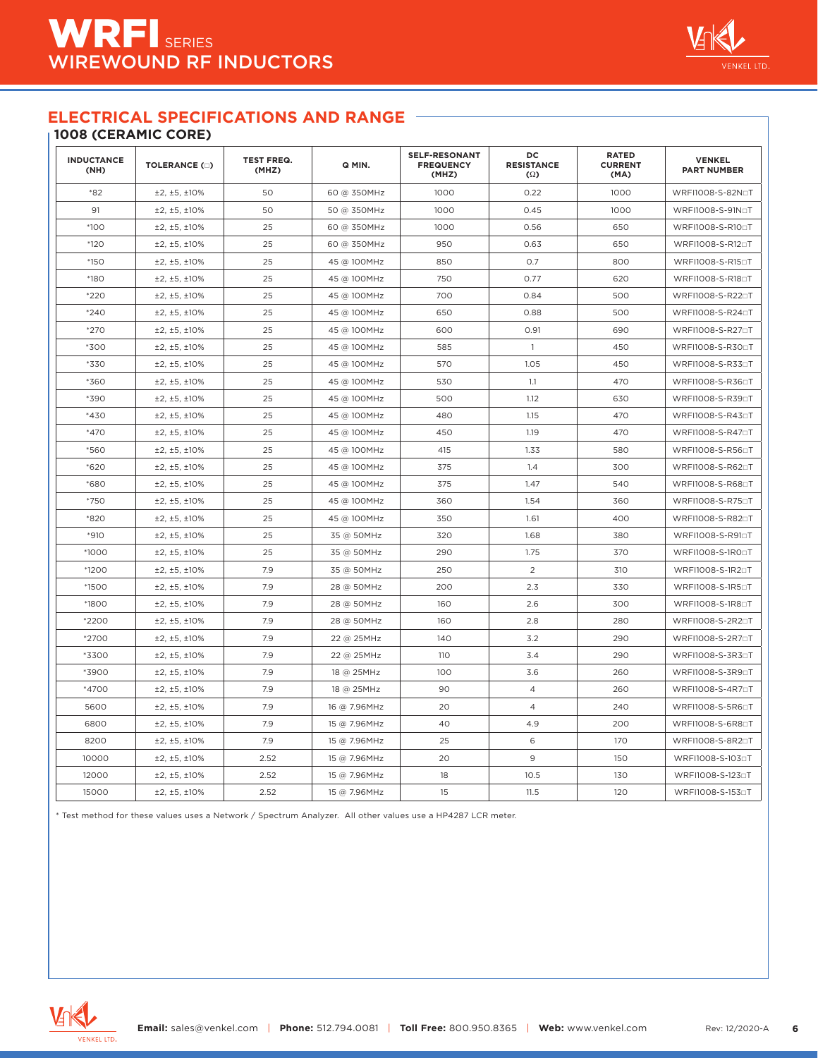### **1008 (CERAMIC CORE)**

| <b>INDUCTANCE</b><br>(NH) | <b>TOLERANCE (E)</b> | <b>TEST FREQ.</b><br>(MHZ) | Q MIN.       | <b>SELF-RESONANT</b><br><b>FREQUENCY</b><br>(MHZ) | DC<br><b>RESISTANCE</b><br>$\Omega$ | <b>RATED</b><br><b>CURRENT</b><br>(MA) | <b>VENKEL</b><br><b>PART NUMBER</b> |
|---------------------------|----------------------|----------------------------|--------------|---------------------------------------------------|-------------------------------------|----------------------------------------|-------------------------------------|
| $*82$                     | ±2, ±5, ±10%         | 50                         | 60 @ 350MHz  | 1000                                              | 0.22                                | 1000                                   | WRFI1008-S-82NoT                    |
| 91                        | ±2, ±5, ±10%         | 50                         | 50 @ 350MHz  | 1000                                              | 0.45                                | 1000                                   | WRFI1008-S-91NoT                    |
| $*100$                    | ±2, ±5, ±10%         | 25                         | 60 @ 350MHz  | 1000                                              | 0.56                                | 650                                    | WRFI1008-S-R100T                    |
| $*120$                    | ±2, ±5, ±10%         | 25                         | 60 @ 350MHz  | 950                                               | 0.63                                | 650                                    | WRFI1008-S-R12□T                    |
| $*150$                    | ±2, ±5, ±10%         | 25                         | 45 @ 100MHz  | 850                                               | 0.7                                 | 800                                    | WRFI1008-S-R150T                    |
| *180                      | ±2, ±5, ±10%         | 25                         | 45 @ 100MHz  | 750                                               | 0.77                                | 620                                    | WRFI1008-S-R180T                    |
| $*220$                    | ±2, ±5, ±10%         | 25                         | 45 @ 100MHz  | 700                                               | 0.84                                | 500                                    | WRFI1008-S-R22□T                    |
| $*240$                    | ±2, ±5, ±10%         | 25                         | 45 @ 100MHz  | 650                                               | 0.88                                | 500                                    | WRFI1008-S-R240T                    |
| *270                      | ±2, ±5, ±10%         | 25                         | 45 @ 100MHz  | 600                                               | 0.91                                | 690                                    | WRFI1008-S-R270T                    |
| *300                      | ±2, ±5, ±10%         | 25                         | 45 @ 100MHz  | 585                                               | $\mathbf{1}$                        | 450                                    | WRFI1008-S-R300T                    |
| *330                      | ±2, ±5, ±10%         | 25                         | 45 @ 100MHz  | 570                                               | 1.05                                | 450                                    | WRFI1008-S-R33□T                    |
| *360                      | ±2, ±5, ±10%         | 25                         | 45 @ 100MHz  | 530                                               | 1.1                                 | 470                                    | WRFI1008-S-R36□T                    |
| *390                      | ±2, ±5, ±10%         | 25                         | 45 @ 100MHz  | 500                                               | 1.12                                | 630                                    | WRFI1008-S-R390T                    |
| $*430$                    | ±2, ±5, ±10%         | 25                         | 45 @ 100MHz  | 480                                               | 1.15                                | 470                                    | WRFI1008-S-R43□T                    |
| $*470$                    | ±2, ±5, ±10%         | 25                         | 45 @ 100MHz  | 450                                               | 1.19                                | 470                                    | WRFI1008-S-R470T                    |
| *560                      | ±2, ±5, ±10%         | 25                         | 45 @ 100MHz  | 415                                               | 1.33                                | 580                                    | WRFI1008-S-R56□T                    |
| $*620$                    | ±2, ±5, ±10%         | 25                         | 45 @ 100MHz  | 375                                               | 1.4                                 | 300                                    | WRFI1008-S-R62□T                    |
| *680                      | ±2, ±5, ±10%         | 25                         | 45 @ 100MHz  | 375                                               | 1.47                                | 540                                    | WRFI1008-S-R680T                    |
| *750                      | ±2, ±5, ±10%         | 25                         | 45 @ 100MHz  | 360                                               | 1.54                                | 360                                    | WRFI1008-S-R750T                    |
| *820                      | ±2, ±5, ±10%         | 25                         | 45 @ 100MHz  | 350                                               | 1.61                                | 400                                    | WRFI1008-S-R820T                    |
| $*910$                    | ±2, ±5, ±10%         | 25                         | 35 @ 50MHz   | 320                                               | 1.68                                | 380                                    | WRFI1008-S-R910T                    |
| *1000                     | ±2, ±5, ±10%         | 25                         | 35 @ 50MHz   | 290                                               | 1.75                                | 370                                    | WRFI1008-S-1R00T                    |
| *1200                     | ±2, ±5, ±10%         | 7.9                        | 35 @ 50MHz   | 250                                               | $\overline{2}$                      | 310                                    | WRFI1008-S-1R20T                    |
| *1500                     | ±2, ±5, ±10%         | 7.9                        | 28 @ 50MHz   | 200                                               | 2.3                                 | 330                                    | WRFI1008-S-1R50T                    |
| *1800                     | ±2, ±5, ±10%         | 7.9                        | 28 @ 50MHz   | 160                                               | 2.6                                 | 300                                    | WRFI1008-S-1R80T                    |
| *2200                     | ±2, ±5, ±10%         | 7.9                        | 28 @ 50MHz   | 160                                               | 2.8                                 | 280                                    | WRFI1008-S-2R2□T                    |
| *2700                     | ±2, ±5, ±10%         | 7.9                        | 22 @ 25MHz   | 140                                               | 3.2                                 | 290                                    | WRFI1008-S-2R70T                    |
| *3300                     | ±2, ±5, ±10%         | 7.9                        | 22 @ 25MHz   | 110                                               | 3.4                                 | 290                                    | WRFI1008-S-3R30T                    |
| *3900                     | ±2, ±5, ±10%         | 7.9                        | 18 @ 25MHz   | 100                                               | 3.6                                 | 260                                    | WRFI1008-S-3R90T                    |
| *4700                     | ±2, ±5, ±10%         | 7.9                        | 18 @ 25MHz   | 90                                                | 4                                   | 260                                    | WRFI1008-S-4R7□T                    |
| 5600                      | ±2, ±5, ±10%         | 7.9                        | 16 @ 7.96MHz | 20                                                | $\overline{4}$                      | 240                                    | WRFI1008-S-5R6□T                    |
| 6800                      | ±2, ±5, ±10%         | 7.9                        | 15 @ 7.96MHz | 40                                                | 4.9                                 | 200                                    | WRFI1008-S-6R80T                    |
| 8200                      | ±2, ±5, ±10%         | 7.9                        | 15 @ 7.96MHz | 25                                                | 6                                   | 170                                    | WRFI1008-S-8R20T                    |
| 10000                     | ±2, ±5, ±10%         | 2.52                       | 15 @ 7.96MHz | 20                                                | 9                                   | 150                                    | WRFI1008-S-1030T                    |
| 12000                     | ±2, ±5, ±10%         | 2.52                       | 15 @ 7.96MHz | 18                                                | 10.5                                | 130                                    | WRFI1008-S-1230T                    |
| 15000                     | ±2, ±5, ±10%         | 2.52                       | 15 @ 7.96MHz | 15                                                | 11.5                                | 120                                    | WRFI1008-S-153□T                    |

\* Test method for these values uses a Network / Spectrum Analyzer. All other values use a HP4287 LCR meter.

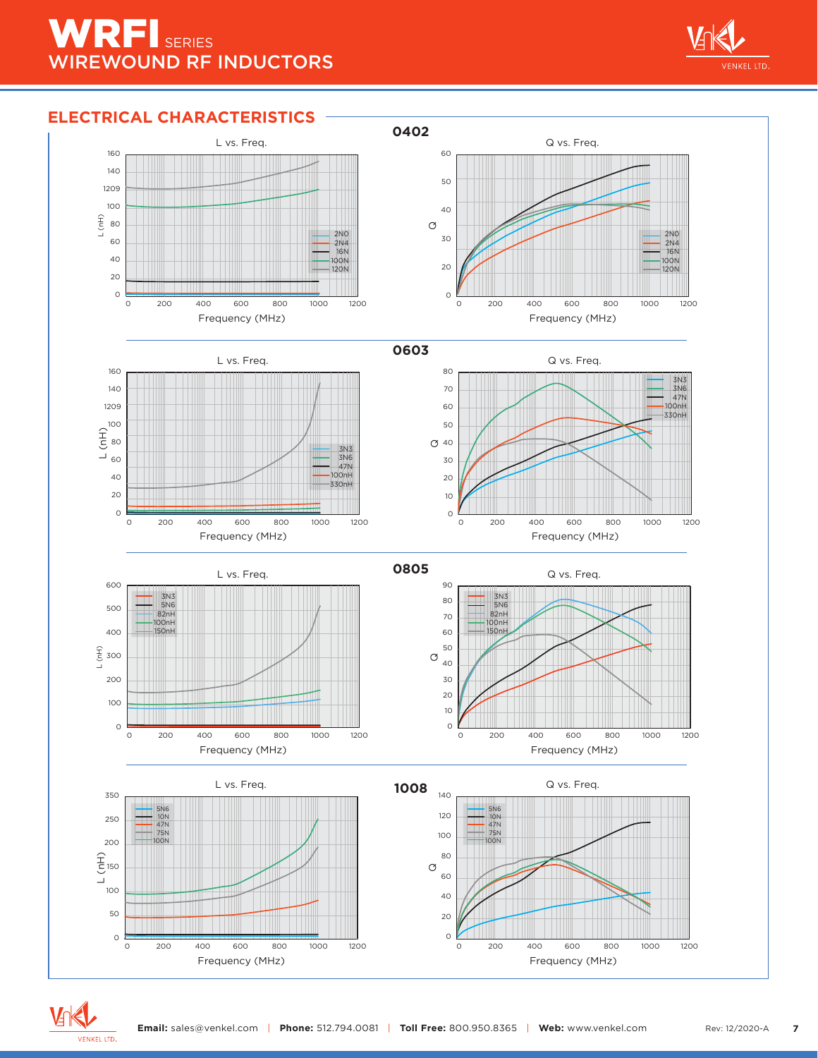# WRFI SERIES WIREWOUND RF INDUCTORS



# **ELECTRICAL CHARACTERISTICS**



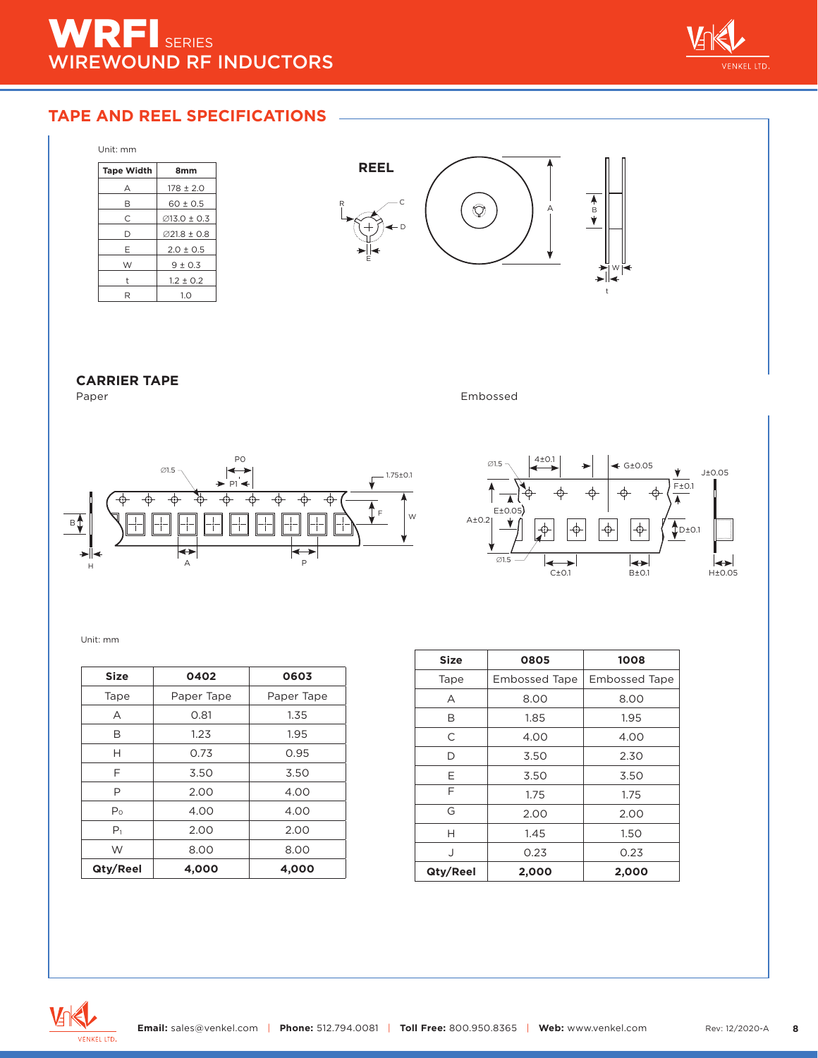

## **TAPE AND REEL SPECIFICATIONS**

| Unit: mm          |                        |
|-------------------|------------------------|
| <b>Tape Width</b> | 8 <sub>mm</sub>        |
| А                 | $178 \pm 2.0$          |
| в                 | $60 \pm 0.5$           |
| C                 | $\emptyset$ 13.0 ± 0.3 |
| D                 | Ø21.8 ± 0.8            |
| Е                 | $2.0 \pm 0.5$          |
| W                 | $9 \pm 0.3$            |
| t                 | $1.2 \pm 0.2$          |
| R                 | 1.0                    |



# **CARRIER TAPE**

Embossed





#### Unit: mm

| <b>Size</b>    | 0402       | 0603       |
|----------------|------------|------------|
| Tape           | Paper Tape | Paper Tape |
| А              | 0.81       | 1.35       |
| в              | 1.23       | 1.95       |
| Н              | 0.73       | 0.95       |
| F              | 3.50       | 3.50       |
| Р              | 2.00       | 4.00       |
| P <sub>o</sub> | 4.00       | 4.00       |
| P <sub>1</sub> | 2.00       | 2.00       |
| W              | 8.00       | 8.00       |
| Qty/Reel       | 4,000      | 4,000      |

| <b>Size</b> | 0805                 | 1008                 |
|-------------|----------------------|----------------------|
| Tape        | <b>Embossed Tape</b> | <b>Embossed Tape</b> |
| А           | 8.00                 | 8.00                 |
| B           | 1.85                 | 1.95                 |
| C           | 4.00                 | 4.00                 |
| D           | 2.30<br>3.50         |                      |
| Е           | 3.50                 | 3.50                 |
| F           | 1.75                 | 1.75                 |
| G           | 2.00                 | 2.00                 |
| н           | 1.45                 | 1.50                 |
| $\cdot$     | 0.23                 | 0.23                 |
| Qty/Reel    | 2,000                | 2,000                |